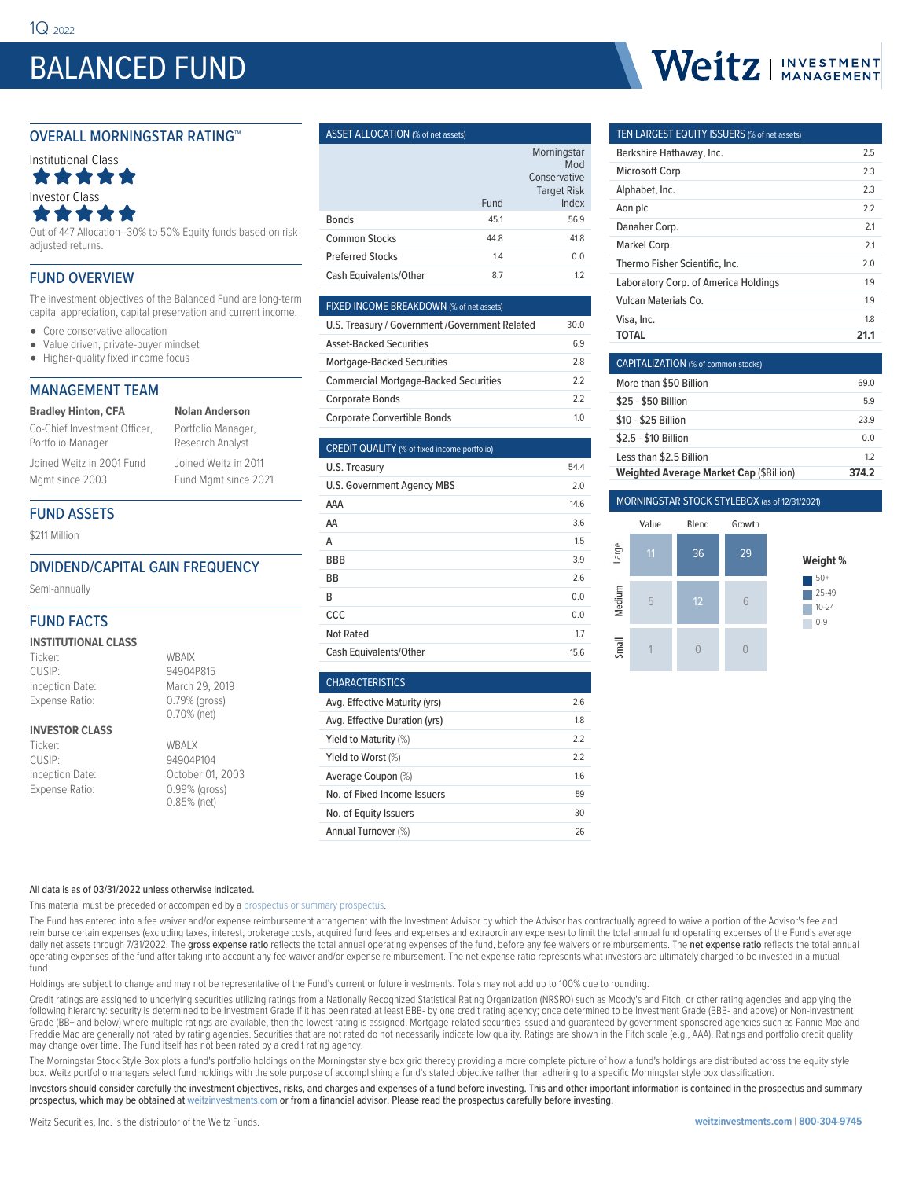## BALANCED FUND

#### OVERALL MORNINGSTAR RATING™



Out of 447 Allocation--30% to 50% Equity funds based on risk adjusted returns.

#### FUND OVERVIEW

The investment objectives of the Balanced Fund are long-term capital appreciation, capital preservation and current income.

- Core conservative allocation
- $\bullet$ Value driven, private-buyer mindset
- Higher-quality fixed income focus

#### MANAGEMENT TEAM

#### **Bradley Hinton, CFA**

Co-Chief Investment Officer, Portfolio Manager Joined Weitz in 2001 Fund

Portfolio Manager, Research Analyst Joined Weitz in 2011 Fund Mgmt since 2021

**Nolan Anderson**

#### FUND ASSETS

Mgmt since 2003

\$211 Million

#### DIVIDEND/CAPITAL GAIN FREQUENCY

Semi-annually

#### FUND FACTS

#### **INSTITUTIONAL CLASS**

| Ticker:          | <b>WBAIX</b>   |
|------------------|----------------|
| CUSIP:           | 94904P815      |
| Inception Date:  | March 29, 2019 |
| Expense Ratio:   | 0.79% (gross)  |
|                  | 0.70% (net)    |
| INIVECTOR OF ACC |                |

#### **INVESTOR CLASS**

Ticker: WBALX<br>CUSIP: 94904F

# 0.70% (net)

#### 94904P104 Inception Date: October 01, 2003 Expense Ratio: 0.99% (gross) 0.85% (net)

#### ASSET ALLOCATION (% of net assets)

|                         |      | Morningstar<br>Mod                          |
|-------------------------|------|---------------------------------------------|
|                         | Fund | Conservative<br><b>Target Risk</b><br>Index |
| <b>Bonds</b>            | 45.1 | 56.9                                        |
| <b>Common Stocks</b>    | 44.8 | 41.8                                        |
| <b>Preferred Stocks</b> | 1.4  | 0.0                                         |
| Cash Equivalents/Other  | 8.7  | 1.2                                         |

#### FIXED INCOME BREAKDOWN (% of net assets) U.S. Treasury / Government /Government Related 30.0

| 0.5. Heasuly / Government / Government Related | .JU.U |
|------------------------------------------------|-------|
| <b>Asset-Backed Securities</b>                 | 69    |
| <b>Mortgage-Backed Securities</b>              | 28    |
| <b>Commercial Mortgage-Backed Securities</b>   | 22    |
| <b>Corporate Bonds</b>                         | 22    |
| <b>Corporate Convertible Bonds</b>             | 10    |

#### CREDIT QUALITY (% of fixed income portfolio)

| U.S. Treasury                 | 54.4 |
|-------------------------------|------|
| U.S. Government Agency MBS    | 2.0  |
| AAA                           | 14.6 |
| AA                            | 3.6  |
| Α                             | 1.5  |
| <b>BBB</b>                    | 3.9  |
| BB                            | 2.6  |
| B                             | 0.0  |
| CCC                           | 0.0  |
| <b>Not Rated</b>              | 1.7  |
| <b>Cash Equivalents/Other</b> | 15.6 |

| <b>CHARACTERISTICS</b>        |     |
|-------------------------------|-----|
| Avg. Effective Maturity (yrs) | 2.6 |
| Avg. Effective Duration (yrs) | 1.8 |
| Yield to Maturity (%)         | 22  |
| Yield to Worst (%)            | 22  |
| Average Coupon (%)            | 16  |
| No. of Fixed Income Issuers   | 59  |
| No. of Equity Issuers         | 30  |
| Annual Turnover (%)           | 26  |

# Weitz | INVESTMENT

#### TEN LARGEST EQUITY ISSUERS (% of net assets) Berkshire Hathaway, Inc. 2.5 Microsoft Corp. 2.3 Alphabet, Inc. 2.3 Aon plc 2.2 Danaher Corp. 2.1 Markel Corp. 2.1 Thermo Fisher Scientific, Inc. 2.0 Laboratory Corp. of America Holdings 1.9 Vulcan Materials Co. 1.9 Visa, Inc. 2012. The set of the set of the set of the set of the set of the set of the set of the set of the set of the set of the set of the set of the set of the set of the set of the set of the set of the set of the set **TOTAL 21.1**

| <b>CAPITALIZATION</b> (% of common stocks)     |                |  |  |  |  |  |  |
|------------------------------------------------|----------------|--|--|--|--|--|--|
| More than \$50 Billion                         | 69 O           |  |  |  |  |  |  |
| \$25 - \$50 Billion                            | 59             |  |  |  |  |  |  |
| \$10 - \$25 Billion                            | 239            |  |  |  |  |  |  |
| \$2.5 - \$10 Billion                           | 0 <sub>0</sub> |  |  |  |  |  |  |
| Less than \$2.5 Billion                        | 12             |  |  |  |  |  |  |
| <b>Weighted Average Market Cap (\$Billion)</b> | 374.2          |  |  |  |  |  |  |

#### MORNINGSTAR STOCK STYLEBOX (as of 12/31/2021)



All data is as of 03/31/2022 unless otherwise indicated.

This material must be preceded or accompanied by a [prospectus or summary prospectus.](https://weitzinvestments.com/resources/product-literature/default.fs)

The Fund has entered into a fee waiver and/or expense reimbursement arrangement with the Investment Advisor by which the Advisor has contractually agreed to waive a portion of the Advisor's fee and reimburse certain expenses (excluding taxes, interest, brokerage costs, acquired fund fees and expenses and extraordinary expenses) to limit the total annual fund operating expenses of the Fund's average daily net assets through 7/31/2022. The gross expense ratio reflects the total annual operating expenses of the fund, before any fee waivers or reimbursements. The net expense ratio reflects the total annual operating expenses of the fund after taking into account any fee waiver and/or expense reimbursement. The net expense ratio represents what investors are ultimately charged to be invested in a mutual fund.

Holdings are subject to change and may not be representative of the Fund's current or future investments. Totals may not add up to 100% due to rounding.

Credit ratings are assigned to underlying securities utilizing ratings from a Nationally Recognized Statistical Rating Organization (NRSRO) such as Moody's and Fitch, or other rating agencies and applying the following hierarchy: security is determined to be Investment Grade if it has been rated at least BBB- by one credit rating agency; once determined to be Investment Grade (BBB- and above) or Non-Investment Grade (BB+ and below) where multiple ratings are available, then the lowest rating is assigned. Mortgage-related securities issued and guaranteed by government-sponsored agencies such as Fannie Mae and<br>Freddie Mac are gene may change over time. The Fund itself has not been rated by a credit rating agency.

The Morningstar Stock Style Box plots a fund's portfolio holdings on the Morningstar style box grid thereby providing a more complete picture of how a fund's holdings are distributed across the equity style box. Weitz portfolio managers select fund holdings with the sole purpose of accomplishing a fund's stated objective rather than adhering to a specific Morningstar style box classification.

Investors should consider carefully the investment objectives, risks, and charges and expenses of a fund before investing. This and other important information is contained in the prospectus and summary prospectus, which may be obtained at weitzinvestments.com or from a financial advisor. Please read the prospectus carefully before investing.